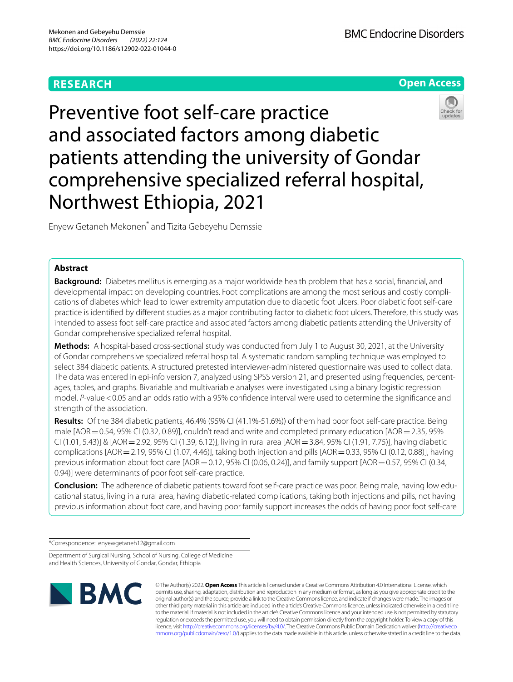# **RESEARCH**





Preventive foot self-care practice and associated factors among diabetic patients attending the university of Gondar comprehensive specialized referral hospital, Northwest Ethiopia, 2021

Enyew Getaneh Mekonen\* and Tizita Gebeyehu Demssie

## **Abstract**

**Background:** Diabetes mellitus is emerging as a major worldwide health problem that has a social, fnancial, and developmental impact on developing countries. Foot complications are among the most serious and costly complications of diabetes which lead to lower extremity amputation due to diabetic foot ulcers. Poor diabetic foot self-care practice is identifed by diferent studies as a major contributing factor to diabetic foot ulcers. Therefore, this study was intended to assess foot self-care practice and associated factors among diabetic patients attending the University of Gondar comprehensive specialized referral hospital.

**Methods:** A hospital-based cross-sectional study was conducted from July 1 to August 30, 2021, at the University of Gondar comprehensive specialized referral hospital. A systematic random sampling technique was employed to select 384 diabetic patients. A structured pretested interviewer-administered questionnaire was used to collect data. The data was entered in epi-info version 7, analyzed using SPSS version 21, and presented using frequencies, percentages, tables, and graphs. Bivariable and multivariable analyses were investigated using a binary logistic regression model. *P*-value <0.05 and an odds ratio with a 95% confidence interval were used to determine the significance and strength of the association.

**Results:** Of the 384 diabetic patients, 46.4% (95% CI (41.1%-51.6%)) of them had poor foot self-care practice. Being male  $[AOR=0.54, 95\%$  CI (0.32, 0.89)], couldn't read and write and completed primary education  $[AOR=2.35, 95\%$ CI (1.01, 5.43)] & [AOR=2.92, 95% CI (1.39, 6.12)], living in rural area [AOR=3.84, 95% CI (1.91, 7.75)], having diabetic complications  $[AOR = 2.19, 95\%$  CI (1.07, 4.46)], taking both injection and pills  $[AOR = 0.33, 95\%$  CI (0.12, 0.88)], having previous information about foot care [AOR = 0.12, 95% CI (0.06, 0.24)], and family support [AOR = 0.57, 95% CI (0.34, 0.94)] were determinants of poor foot self-care practice.

**Conclusion:** The adherence of diabetic patients toward foot self-care practice was poor. Being male, having low educational status, living in a rural area, having diabetic-related complications, taking both injections and pills, not having previous information about foot care, and having poor family support increases the odds of having poor foot self-care

\*Correspondence: enyewgetaneh12@gmail.com

Department of Surgical Nursing, School of Nursing, College of Medicine and Health Sciences, University of Gondar, Gondar, Ethiopia



© The Author(s) 2022. **Open Access** This article is licensed under a Creative Commons Attribution 4.0 International License, which permits use, sharing, adaptation, distribution and reproduction in any medium or format, as long as you give appropriate credit to the original author(s) and the source, provide a link to the Creative Commons licence, and indicate if changes were made. The images or other third party material in this article are included in the article's Creative Commons licence, unless indicated otherwise in a credit line to the material. If material is not included in the article's Creative Commons licence and your intended use is not permitted by statutory regulation or exceeds the permitted use, you will need to obtain permission directly from the copyright holder. To view a copy of this licence, visit [http://creativecommons.org/licenses/by/4.0/.](http://creativecommons.org/licenses/by/4.0/) The Creative Commons Public Domain Dedication waiver ([http://creativeco](http://creativecommons.org/publicdomain/zero/1.0/) [mmons.org/publicdomain/zero/1.0/](http://creativecommons.org/publicdomain/zero/1.0/)) applies to the data made available in this article, unless otherwise stated in a credit line to the data.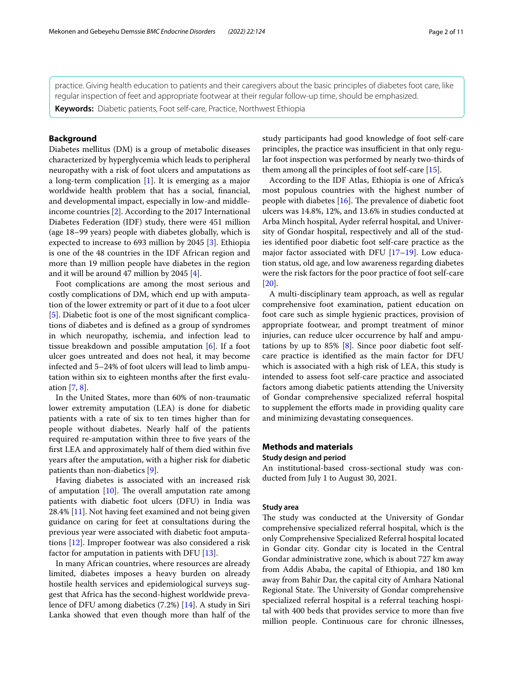practice. Giving health education to patients and their caregivers about the basic principles of diabetes foot care, like regular inspection of feet and appropriate footwear at their regular follow-up time, should be emphasized.

**Keywords:** Diabetic patients, Foot self-care, Practice, Northwest Ethiopia

## **Background**

Diabetes mellitus (DM) is a group of metabolic diseases characterized by hyperglycemia which leads to peripheral neuropathy with a risk of foot ulcers and amputations as a long-term complication [\[1](#page-9-0)]. It is emerging as a major worldwide health problem that has a social, fnancial, and developmental impact, especially in low-and middleincome countries [[2\]](#page-9-1). According to the 2017 International Diabetes Federation (IDF) study, there were 451 million (age 18–99 years) people with diabetes globally, which is expected to increase to 693 million by 2045 [\[3](#page-9-2)]. Ethiopia is one of the 48 countries in the IDF African region and more than 19 million people have diabetes in the region and it will be around 47 million by 2045 [[4\]](#page-9-3).

Foot complications are among the most serious and costly complications of DM, which end up with amputation of the lower extremity or part of it due to a foot ulcer [[5\]](#page-9-4). Diabetic foot is one of the most signifcant complications of diabetes and is defned as a group of syndromes in which neuropathy, ischemia, and infection lead to tissue breakdown and possible amputation [\[6](#page-9-5)]. If a foot ulcer goes untreated and does not heal, it may become infected and 5–24% of foot ulcers will lead to limb amputation within six to eighteen months after the frst evaluation [\[7,](#page-9-6) [8](#page-9-7)].

In the United States, more than 60% of non-traumatic lower extremity amputation (LEA) is done for diabetic patients with a rate of six to ten times higher than for people without diabetes. Nearly half of the patients required re-amputation within three to fve years of the frst LEA and approximately half of them died within fve years after the amputation, with a higher risk for diabetic patients than non-diabetics [[9\]](#page-9-8).

Having diabetes is associated with an increased risk of amputation  $[10]$  $[10]$ . The overall amputation rate among patients with diabetic foot ulcers (DFU) in India was 28.4% [[11\]](#page-9-10). Not having feet examined and not being given guidance on caring for feet at consultations during the previous year were associated with diabetic foot amputations [\[12](#page-9-11)]. Improper footwear was also considered a risk factor for amputation in patients with DFU [[13\]](#page-9-12).

In many African countries, where resources are already limited, diabetes imposes a heavy burden on already hostile health services and epidemiological surveys suggest that Africa has the second-highest worldwide prevalence of DFU among diabetics (7.2%) [[14\]](#page-9-13). A study in Siri Lanka showed that even though more than half of the study participants had good knowledge of foot self-care principles, the practice was insufficient in that only regular foot inspection was performed by nearly two-thirds of them among all the principles of foot self-care [[15\]](#page-9-14).

According to the IDF Atlas, Ethiopia is one of Africa's most populous countries with the highest number of people with diabetes  $[16]$  $[16]$  $[16]$ . The prevalence of diabetic foot ulcers was 14.8%, 12%, and 13.6% in studies conducted at Arba Minch hospital, Ayder referral hospital, and University of Gondar hospital, respectively and all of the studies identifed poor diabetic foot self-care practice as the major factor associated with DFU [[17](#page-9-16)[–19](#page-9-17)]. Low education status, old age, and low awareness regarding diabetes were the risk factors for the poor practice of foot self-care [[20\]](#page-9-18).

A multi-disciplinary team approach, as well as regular comprehensive foot examination, patient education on foot care such as simple hygienic practices, provision of appropriate footwear, and prompt treatment of minor injuries, can reduce ulcer occurrence by half and amputations by up to  $85\%$  [[8\]](#page-9-7). Since poor diabetic foot selfcare practice is identifed as the main factor for DFU which is associated with a high risk of LEA, this study is intended to assess foot self-care practice and associated factors among diabetic patients attending the University of Gondar comprehensive specialized referral hospital to supplement the efforts made in providing quality care and minimizing devastating consequences.

## **Methods and materials Study design and period**

An institutional-based cross-sectional study was conducted from July 1 to August 30, 2021.

## **Study area**

The study was conducted at the University of Gondar comprehensive specialized referral hospital, which is the only Comprehensive Specialized Referral hospital located in Gondar city. Gondar city is located in the Central Gondar administrative zone, which is about 727 km away from Addis Ababa, the capital of Ethiopia, and 180 km away from Bahir Dar, the capital city of Amhara National Regional State. The University of Gondar comprehensive specialized referral hospital is a referral teaching hospital with 400 beds that provides service to more than fve million people. Continuous care for chronic illnesses,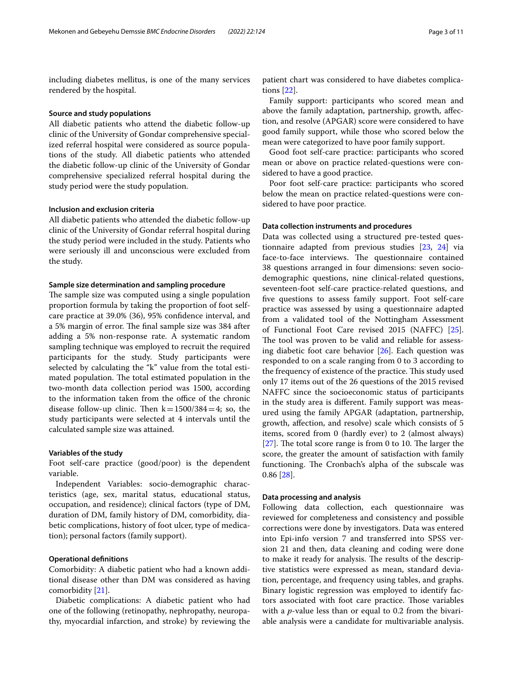including diabetes mellitus, is one of the many services rendered by the hospital.

### **Source and study populations**

All diabetic patients who attend the diabetic follow-up clinic of the University of Gondar comprehensive specialized referral hospital were considered as source populations of the study. All diabetic patients who attended the diabetic follow-up clinic of the University of Gondar comprehensive specialized referral hospital during the study period were the study population.

## **Inclusion and exclusion criteria**

All diabetic patients who attended the diabetic follow-up clinic of the University of Gondar referral hospital during the study period were included in the study. Patients who were seriously ill and unconscious were excluded from the study.

## **Sample size determination and sampling procedure**

The sample size was computed using a single population proportion formula by taking the proportion of foot selfcare practice at 39.0% (36), 95% confdence interval, and a 5% margin of error. The final sample size was 384 after adding a 5% non-response rate. A systematic random sampling technique was employed to recruit the required participants for the study. Study participants were selected by calculating the "k" value from the total estimated population. The total estimated population in the two-month data collection period was 1500, according to the information taken from the office of the chronic disease follow-up clinic. Then  $k=1500/384=4$ ; so, the study participants were selected at 4 intervals until the calculated sample size was attained.

### **Variables of the study**

Foot self-care practice (good/poor) is the dependent variable.

Independent Variables: socio-demographic characteristics (age, sex, marital status, educational status, occupation, and residence); clinical factors (type of DM, duration of DM, family history of DM, comorbidity, diabetic complications, history of foot ulcer, type of medication); personal factors (family support).

### **Operational defnitions**

Comorbidity: A diabetic patient who had a known additional disease other than DM was considered as having comorbidity [\[21](#page-9-19)].

Diabetic complications: A diabetic patient who had one of the following (retinopathy, nephropathy, neuropathy, myocardial infarction, and stroke) by reviewing the

patient chart was considered to have diabetes complications [[22](#page-9-20)].

Family support: participants who scored mean and above the family adaptation, partnership, growth, afection, and resolve (APGAR) score were considered to have good family support, while those who scored below the mean were categorized to have poor family support.

Good foot self-care practice: participants who scored mean or above on practice related-questions were considered to have a good practice.

Poor foot self-care practice: participants who scored below the mean on practice related-questions were considered to have poor practice.

### **Data collection instruments and procedures**

Data was collected using a structured pre-tested questionnaire adapted from previous studies [\[23](#page-9-21), [24\]](#page-9-22) via face-to-face interviews. The questionnaire contained 38 questions arranged in four dimensions: seven sociodemographic questions, nine clinical-related questions, seventeen-foot self-care practice-related questions, and fve questions to assess family support. Foot self-care practice was assessed by using a questionnaire adapted from a validated tool of the Nottingham Assessment of Functional Foot Care revised 2015 (NAFFC) [\[25](#page-9-23)]. The tool was proven to be valid and reliable for assessing diabetic foot care behavior [\[26](#page-9-24)]. Each question was responded to on a scale ranging from 0 to 3 according to the frequency of existence of the practice. This study used only 17 items out of the 26 questions of the 2015 revised NAFFC since the socioeconomic status of participants in the study area is diferent. Family support was measured using the family APGAR (adaptation, partnership, growth, afection, and resolve) scale which consists of 5 items, scored from 0 (hardly ever) to 2 (almost always)  $[27]$  $[27]$ . The total score range is from 0 to 10. The larger the score, the greater the amount of satisfaction with family functioning. The Cronbach's alpha of the subscale was 0.86 [\[28](#page-9-26)].

### **Data processing and analysis**

Following data collection, each questionnaire was reviewed for completeness and consistency and possible corrections were done by investigators. Data was entered into Epi-info version 7 and transferred into SPSS version 21 and then, data cleaning and coding were done to make it ready for analysis. The results of the descriptive statistics were expressed as mean, standard deviation, percentage, and frequency using tables, and graphs. Binary logistic regression was employed to identify factors associated with foot care practice. Those variables with a *p*-value less than or equal to 0.2 from the bivariable analysis were a candidate for multivariable analysis.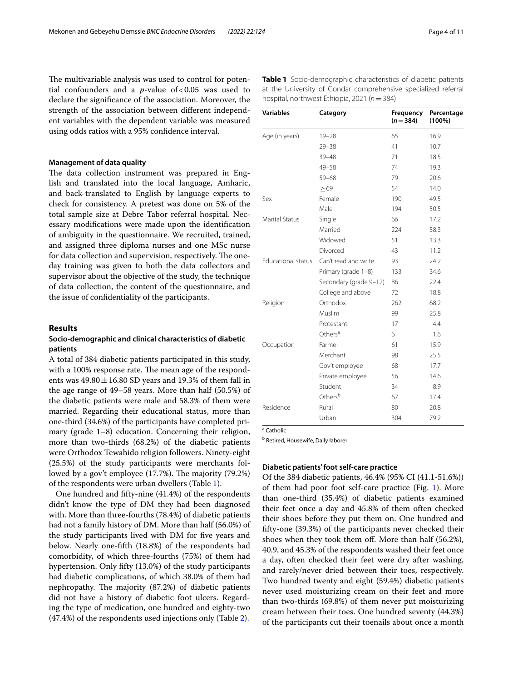The multivariable analysis was used to control for potential confounders and a  $p$ -value of <0.05 was used to declare the signifcance of the association. Moreover, the strength of the association between diferent independent variables with the dependent variable was measured using odds ratios with a 95% confdence interval.

## **Management of data quality**

The data collection instrument was prepared in English and translated into the local language, Amharic, and back-translated to English by language experts to check for consistency. A pretest was done on 5% of the total sample size at Debre Tabor referral hospital. Necessary modifcations were made upon the identifcation of ambiguity in the questionnaire. We recruited, trained, and assigned three diploma nurses and one MSc nurse for data collection and supervision, respectively. The oneday training was given to both the data collectors and supervisor about the objective of the study, the technique of data collection, the content of the questionnaire, and the issue of confdentiality of the participants.

## **Results**

## **Socio‑demographic and clinical characteristics of diabetic patients**

A total of 384 diabetic patients participated in this study, with a 100% response rate. The mean age of the respondents was  $49.80 \pm 16.80$  SD years and 19.3% of them fall in the age range of 49–58 years. More than half (50.5%) of the diabetic patients were male and 58.3% of them were married. Regarding their educational status, more than one-third (34.6%) of the participants have completed primary (grade 1–8) education. Concerning their religion, more than two-thirds (68.2%) of the diabetic patients were Orthodox Tewahido religion followers. Ninety-eight (25.5%) of the study participants were merchants followed by a gov't employee  $(17.7%)$ . The majority  $(79.2%)$ of the respondents were urban dwellers (Table [1](#page-3-0)).

One hundred and ffty-nine (41.4%) of the respondents didn't know the type of DM they had been diagnosed with. More than three-fourths (78.4%) of diabetic patients had not a family history of DM. More than half (56.0%) of the study participants lived with DM for five years and below. Nearly one-ffth (18.8%) of the respondents had comorbidity, of which three-fourths (75%) of them had hypertension. Only ffty (13.0%) of the study participants had diabetic complications, of which 38.0% of them had nephropathy. The majority (87.2%) of diabetic patients did not have a history of diabetic foot ulcers. Regarding the type of medication, one hundred and eighty-two (47.4%) of the respondents used injections only (Table [2\)](#page-4-0).

| <b>Variables</b>          | Category               | Frequency<br>$(n=384)$ | Percentage<br>$(100\%)$ |  |
|---------------------------|------------------------|------------------------|-------------------------|--|
| Age (in years)            | $19 - 28$              | 65                     | 16.9                    |  |
|                           | $29 - 38$              | 41                     | 10.7                    |  |
|                           | $39 - 48$              | 71                     | 18.5                    |  |
|                           | $49 - 58$              | 74                     | 19.3                    |  |
|                           | $59 - 68$              | 79                     | 20.6                    |  |
|                           | $\geq 69$              | 54                     | 14.0                    |  |
| Sex                       | Female                 | 190                    | 49.5                    |  |
|                           | Male                   | 194                    | 50.5                    |  |
| <b>Marital Status</b>     | Single                 | 66                     | 17.2                    |  |
|                           | Married                | 224                    | 58.3                    |  |
|                           | Widowed                | 51                     | 13.3                    |  |
|                           | Divorced               | 43                     | 11.2                    |  |
| <b>Educational status</b> | Can't read and write   | 93                     | 24.2                    |  |
|                           | Primary (grade 1-8)    | 133                    | 34.6                    |  |
|                           | Secondary (grade 9-12) | 86                     | 22.4                    |  |
|                           | College and above      | 72                     | 18.8                    |  |
| Religion                  | Orthodox               | 262                    | 68.2                    |  |
|                           | Muslim                 | 99                     | 25.8                    |  |
|                           | Protestant             | 17                     | 4.4                     |  |
|                           | Others <sup>a</sup>    | 6                      | 1.6                     |  |
| Occupation                | Farmer                 | 61                     | 15.9                    |  |
|                           | Merchant               | 98                     | 25.5                    |  |
|                           | Gov't employee         | 68                     | 17.7                    |  |
|                           | Private employee       | 56                     | 14.6                    |  |
|                           | Student                | 34                     | 8.9                     |  |
|                           | Others <sup>b</sup>    | 67                     | 17.4                    |  |
| Residence                 | Rural                  | 80                     | 20.8                    |  |
|                           | Urban                  | 304                    | 79.2                    |  |

<span id="page-3-0"></span>**Table 1** Socio-demographic characteristics of diabetic patients at the University of Gondar comprehensive specialized referral hospital, northwest Ethiopia, 2021 (*n*=384)

a Catholic

**b** Retired, Housewife, Daily laborer

### **Diabetic patients' foot self‑care practice**

Of the 384 diabetic patients, 46.4% (95% CI (41.1-51.6%)) of them had poor foot self-care practice (Fig. [1\)](#page-4-1). More than one-third (35.4%) of diabetic patients examined their feet once a day and 45.8% of them often checked their shoes before they put them on. One hundred and ffty-one (39.3%) of the participants never checked their shoes when they took them off. More than half (56.2%), 40.9, and 45.3% of the respondents washed their feet once a day, often checked their feet were dry after washing, and rarely/never dried between their toes, respectively. Two hundred twenty and eight (59.4%) diabetic patients never used moisturizing cream on their feet and more than two-thirds (69.8%) of them never put moisturizing cream between their toes. One hundred seventy (44.3%) of the participants cut their toenails about once a month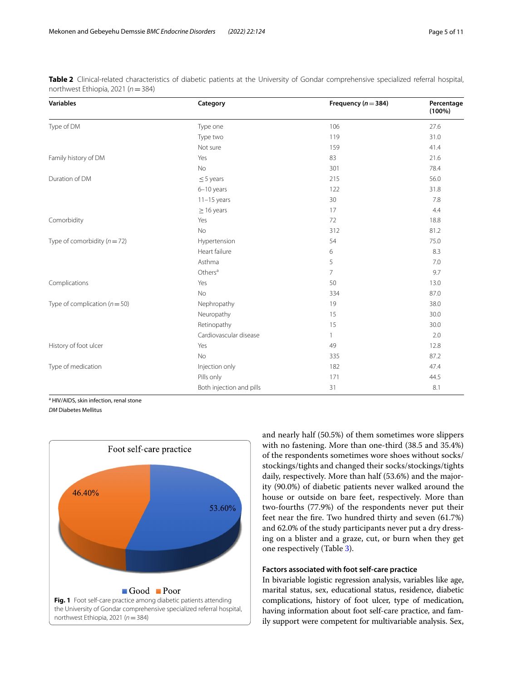| <b>Variables</b>                 | Category                 | Frequency ( $n = 384$ ) | Percentage<br>$(100\%)$ |
|----------------------------------|--------------------------|-------------------------|-------------------------|
| Type of DM                       | Type one                 | 106                     | 27.6                    |
|                                  | Type two                 | 119                     | 31.0                    |
|                                  | Not sure                 | 159                     | 41.4                    |
| Family history of DM             | Yes                      | 83                      | 21.6                    |
|                                  | <b>No</b>                | 301                     | 78.4                    |
| Duration of DM                   | $\leq$ 5 years           | 215                     | 56.0                    |
|                                  | $6-10$ years             | 122                     | 31.8                    |
|                                  | $11-15$ years            | 30                      | 7.8                     |
|                                  | $\geq$ 16 years          | 17                      | 4.4                     |
| Comorbidity                      | Yes                      | 72                      | 18.8                    |
|                                  | No                       | 312                     | 81.2                    |
| Type of comorbidity ( $n = 72$ ) | Hypertension             | 54                      | 75.0                    |
|                                  | Heart failure            | 6                       | 8.3                     |
|                                  | Asthma                   | 5                       | 7.0                     |
|                                  | Others <sup>a</sup>      | $\overline{7}$          | 9.7                     |
| Complications                    | Yes                      | 50                      | 13.0                    |
|                                  | <b>No</b>                | 334                     | 87.0                    |
| Type of complication $(n=50)$    | Nephropathy              | 19                      | 38.0                    |
|                                  | Neuropathy               | 15                      | 30.0                    |
|                                  | Retinopathy              | 15                      | 30.0                    |
|                                  | Cardiovascular disease   | $\overline{1}$          | 2.0                     |
| History of foot ulcer            | Yes                      | 49                      | 12.8                    |
|                                  | No                       | 335                     | 87.2                    |
| Type of medication               | Injection only           | 182                     | 47.4                    |
|                                  | Pills only               | 171                     | 44.5                    |
|                                  | Both injection and pills | 31                      | 8.1                     |

<span id="page-4-0"></span>**Table 2** Clinical-related characteristics of diabetic patients at the University of Gondar comprehensive specialized referral hospital, northwest Ethiopia, 2021 (*n*=384)

<sup>a</sup> HIV/AIDS, skin infection, renal stone

*DM* Diabetes Mellitus

<span id="page-4-1"></span>

and nearly half (50.5%) of them sometimes wore slippers with no fastening. More than one-third (38.5 and 35.4%) of the respondents sometimes wore shoes without socks/ stockings/tights and changed their socks/stockings/tights daily, respectively. More than half (53.6%) and the majority (90.0%) of diabetic patients never walked around the house or outside on bare feet, respectively. More than two-fourths (77.9%) of the respondents never put their feet near the fre. Two hundred thirty and seven (61.7%) and 62.0% of the study participants never put a dry dressing on a blister and a graze, cut, or burn when they get one respectively (Table [3\)](#page-5-0).

## **Factors associated with foot self‑care practice**

In bivariable logistic regression analysis, variables like age, marital status, sex, educational status, residence, diabetic complications, history of foot ulcer, type of medication, having information about foot self-care practice, and family support were competent for multivariable analysis. Sex,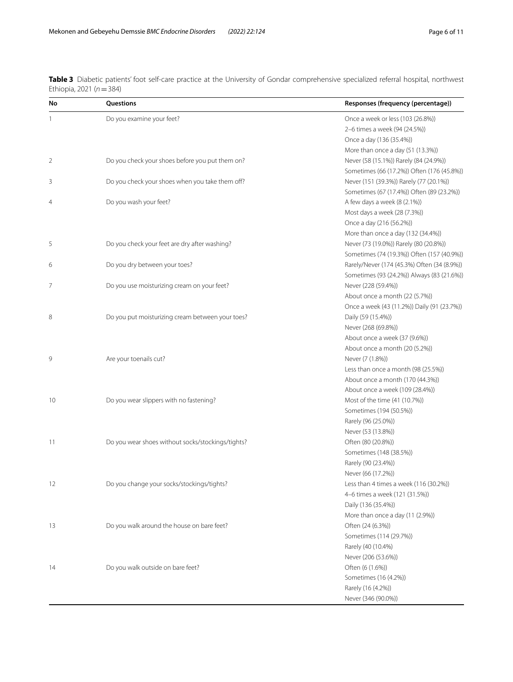| No             | Questions                                         | Responses (frequency (percentage))          |
|----------------|---------------------------------------------------|---------------------------------------------|
| $\mathbf{1}$   | Do you examine your feet?                         | Once a week or less (103 (26.8%))           |
|                |                                                   | 2-6 times a week (94 (24.5%))               |
|                |                                                   | Once a day (136 (35.4%))                    |
|                |                                                   | More than once a day (51 (13.3%))           |
| $\overline{2}$ | Do you check your shoes before you put them on?   | Never (58 (15.1%)) Rarely (84 (24.9%))      |
|                |                                                   | Sometimes (66 (17.2%)) Often (176 (45.8%))  |
| 3              | Do you check your shoes when you take them off?   | Never (151 (39.3%)) Rarely (77 (20.1%))     |
|                |                                                   | Sometimes (67 (17.4%)) Often (89 (23.2%))   |
| 4              | Do you wash your feet?                            | A few days a week (8 (2.1%))                |
|                |                                                   | Most days a week (28 (7.3%))                |
|                |                                                   | Once a day (216 (56.2%))                    |
|                |                                                   | More than once a day (132 (34.4%))          |
| 5              | Do you check your feet are dry after washing?     | Never (73 (19.0%)) Rarely (80 (20.8%))      |
|                |                                                   | Sometimes (74 (19.3%)) Often (157 (40.9%))  |
| 6              | Do you dry between your toes?                     | Rarely/Never (174 (45.3%) Often (34 (8.9%)) |
|                |                                                   | Sometimes (93 (24.2%)) Always (83 (21.6%))  |
| 7              | Do you use moisturizing cream on your feet?       | Never (228 (59.4%))                         |
|                |                                                   | About once a month (22 (5.7%))              |
|                |                                                   | Once a week (43 (11.2%)) Daily (91 (23.7%)) |
| 8              | Do you put moisturizing cream between your toes?  | Daily (59 (15.4%))                          |
|                |                                                   | Never (268 (69.8%))                         |
|                |                                                   | About once a week (37 (9.6%))               |
|                |                                                   | About once a month (20 (5.2%))              |
| 9              | Are your toenails cut?                            | Never (7 (1.8%))                            |
|                |                                                   | Less than once a month (98 (25.5%))         |
|                |                                                   | About once a month (170 (44.3%))            |
|                |                                                   | About once a week (109 (28.4%))             |
| 10             | Do you wear slippers with no fastening?           | Most of the time (41 (10.7%))               |
|                |                                                   | Sometimes (194 (50.5%))                     |
|                |                                                   | Rarely (96 (25.0%))                         |
|                |                                                   | Never (53 (13.8%))                          |
| 11             | Do you wear shoes without socks/stockings/tights? | Often (80 (20.8%))                          |
|                |                                                   | Sometimes (148 (38.5%))                     |
|                |                                                   | Rarely (90 (23.4%))                         |
|                |                                                   | Never (66 (17.2%))                          |
|                | Do you change your socks/stockings/tights?        | Less than 4 times a week (116 (30.2%))      |
|                |                                                   | 4-6 times a week (121 (31.5%))              |
|                |                                                   | Daily (136 (35.4%))                         |
|                |                                                   | More than once a day (11 (2.9%))            |
| 13             | Do you walk around the house on bare feet?        | Often (24 (6.3%))                           |
|                |                                                   | Sometimes (114 (29.7%))                     |
|                |                                                   | Rarely (40 (10.4%)                          |
|                |                                                   | Never (206 (53.6%))                         |
| 14             | Do you walk outside on bare feet?                 | Often (6 (1.6%))                            |
|                |                                                   | Sometimes (16 (4.2%))                       |
|                |                                                   | Rarely (16 (4.2%))                          |
|                |                                                   | Never (346 (90.0%))                         |

<span id="page-5-0"></span>**Table 3** Diabetic patients' foot self-care practice at the University of Gondar comprehensive specialized referral hospital, northwest Ethiopia, 2021 (*n*=384)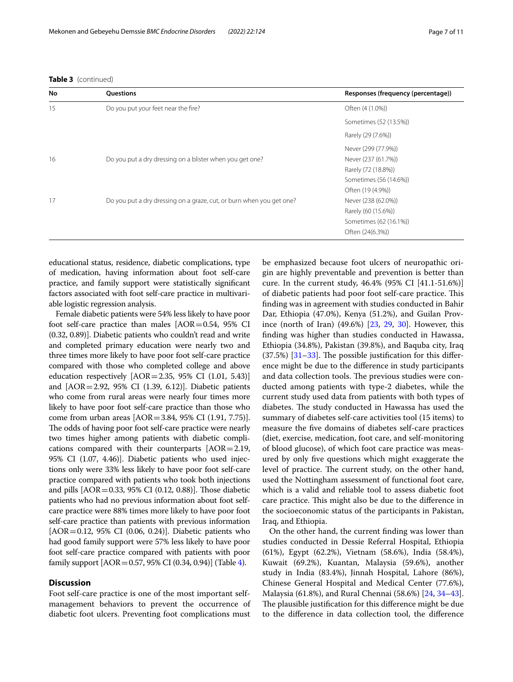|  | <b>Table 3</b> (continued) |
|--|----------------------------|
|--|----------------------------|

| No | Questions                                                            | Responses (frequency (percentage)) |
|----|----------------------------------------------------------------------|------------------------------------|
| 15 | Do you put your feet near the fire?                                  | Often (4 (1.0%))                   |
|    |                                                                      | Sometimes (52 (13.5%))             |
|    |                                                                      | Rarely (29 (7.6%))                 |
|    |                                                                      | Never (299 (77.9%))                |
| 16 | Do you put a dry dressing on a blister when you get one?             | Never (237 (61.7%))                |
|    |                                                                      | Rarely (72 (18.8%))                |
|    |                                                                      | Sometimes (56 (14.6%))             |
|    |                                                                      | Often (19 (4.9%))                  |
| 17 | Do you put a dry dressing on a graze, cut, or burn when you get one? | Never (238 (62.0%))                |
|    |                                                                      | Rarely (60 (15.6%))                |
|    |                                                                      | Sometimes (62 (16.1%))             |
|    |                                                                      | Often (24(6.3%))                   |

educational status, residence, diabetic complications, type of medication, having information about foot self-care practice, and family support were statistically signifcant factors associated with foot self-care practice in multivariable logistic regression analysis.

Female diabetic patients were 54% less likely to have poor foot self-care practice than males  $[AOR=0.54, 95%$  CI (0.32, 0.89)]. Diabetic patients who couldn't read and write and completed primary education were nearly two and three times more likely to have poor foot self-care practice compared with those who completed college and above education respectively [AOR=2.35, 95% CI (1.01, 5.43)] and [AOR=2.92, 95% CI (1.39, 6.12)]. Diabetic patients who come from rural areas were nearly four times more likely to have poor foot self-care practice than those who come from urban areas [AOR=3.84, 95% CI (1.91, 7.75)]. The odds of having poor foot self-care practice were nearly two times higher among patients with diabetic complications compared with their counterparts [AOR=2.19, 95% CI (1.07, 4.46)]. Diabetic patients who used injections only were 33% less likely to have poor foot self-care practice compared with patients who took both injections and pills  $[AOR = 0.33, 95\% \text{ CI } (0.12, 0.88)]$ . Those diabetic patients who had no previous information about foot selfcare practice were 88% times more likely to have poor foot self-care practice than patients with previous information  $[AOR = 0.12, 95\% \text{ CI } (0.06, 0.24)$ ]. Diabetic patients who had good family support were 57% less likely to have poor foot self-care practice compared with patients with poor family support [AOR=0.57, 95% CI (0.34, 0.94)] (Table [4](#page-7-0)).

## **Discussion**

Foot self-care practice is one of the most important selfmanagement behaviors to prevent the occurrence of diabetic foot ulcers. Preventing foot complications must be emphasized because foot ulcers of neuropathic origin are highly preventable and prevention is better than cure. In the current study, 46.4% (95% CI [41.1-51.6%)] of diabetic patients had poor foot self-care practice. This fnding was in agreement with studies conducted in Bahir Dar, Ethiopia (47.0%), Kenya (51.2%), and Guilan Province (north of Iran) (49.6%) [[23](#page-9-21), [29](#page-9-27), [30\]](#page-9-28). However, this fnding was higher than studies conducted in Hawassa, Ethiopia (34.8%), Pakistan (39.8%), and Baquba city, Iraq  $(37.5%)$   $[31–33]$  $[31–33]$ . The possible justification for this difference might be due to the diference in study participants and data collection tools. The previous studies were conducted among patients with type-2 diabetes, while the current study used data from patients with both types of diabetes. The study conducted in Hawassa has used the summary of diabetes self-care activities tool (15 items) to measure the fve domains of diabetes self-care practices (diet, exercise, medication, foot care, and self-monitoring of blood glucose), of which foot care practice was measured by only fve questions which might exaggerate the level of practice. The current study, on the other hand, used the Nottingham assessment of functional foot care, which is a valid and reliable tool to assess diabetic foot care practice. This might also be due to the difference in the socioeconomic status of the participants in Pakistan, Iraq, and Ethiopia.

On the other hand, the current fnding was lower than studies conducted in Dessie Referral Hospital, Ethiopia (61%), Egypt (62.2%), Vietnam (58.6%), India (58.4%), Kuwait (69.2%), Kuantan, Malaysia (59.6%), another study in India (83.4%), Jinnah Hospital, Lahore (86%), Chinese General Hospital and Medical Center (77.6%), Malaysia (61.8%), and Rural Chennai (58.6%) [\[24,](#page-9-22) [34](#page-9-31)[–43](#page-10-0)]. The plausible justification for this difference might be due to the diference in data collection tool, the diference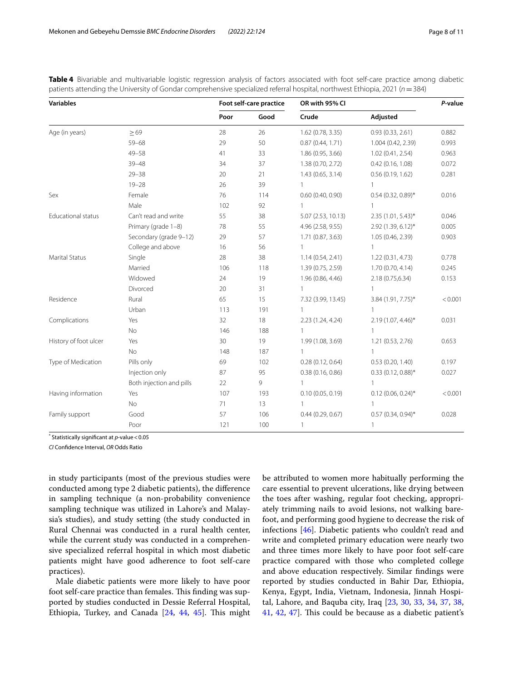<span id="page-7-0"></span>**Table 4** Bivariable and multivariable logistic regression analysis of factors associated with foot self-care practice among diabetic patients attending the University of Gondar comprehensive specialized referral hospital, northwest Ethiopia, 2021 (*n*=384)

| <b>Variables</b>          |                          | Foot self-care practice |      | OR with 95% Cl     |                        | P-value |
|---------------------------|--------------------------|-------------------------|------|--------------------|------------------------|---------|
|                           |                          | Poor                    | Good | Crude              | Adjusted               |         |
| Age (in years)            | $\geq 69$                | 28                      | 26   | 1.62 (0.78, 3.35)  | 0.93(0.33, 2.61)       | 0.882   |
|                           | $59 - 68$                | 29                      | 50   | 0.87(0.44, 1.71)   | 1.004 (0.42, 2.39)     | 0.993   |
|                           | $49 - 58$                | 41                      | 33   | 1.86 (0.95, 3.66)  | 1.02(0.41, 2.54)       | 0.963   |
|                           | $39 - 48$                | 34                      | 37   | 1.38 (0.70, 2.72)  | 0.42(0.16, 1.08)       | 0.072   |
|                           | $29 - 38$                | 20                      | 21   | 1.43(0.65, 3.14)   | 0.56(0.19, 1.62)       | 0.281   |
|                           | $19 - 28$                | 26                      | 39   | 1                  | 1                      |         |
| Sex                       | Female                   | 76                      | 114  | 0.60(0.40, 0.90)   | $0.54$ (0.32, 0.89)*   | 0.016   |
|                           | Male                     | 102                     | 92   | $\mathbf{1}$       | 1                      |         |
| <b>Educational status</b> | Can't read and write     | 55                      | 38   | 5.07(2.53, 10.13)  | $2.35(1.01, 5.43)^{*}$ | 0.046   |
|                           | Primary (grade 1-8)      | 78                      | 55   | 4.96 (2.58, 9.55)  | 2.92 (1.39, 6.12)*     | 0.005   |
|                           | Secondary (grade 9-12)   | 29                      | 57   | 1.71 (0.87, 3.63)  | 1.05 (0.46, 2.39)      | 0.903   |
|                           | College and above        | 16                      | 56   | $\mathbf{1}$       | 1                      |         |
| Marital Status            | Single                   | 28                      | 38   | 1.14(0.54, 2.41)   | 1.22(0.31, 4.73)       | 0.778   |
|                           | Married                  | 106                     | 118  | 1.39 (0.75, 2.59)  | 1.70(0.70, 4.14)       | 0.245   |
|                           | Widowed                  | 24                      | 19   | 1.96 (0.86, 4.46)  | 2.18 (0.75,6.34)       | 0.153   |
|                           | Divorced                 | 20                      | 31   |                    | $\mathbf{1}$           |         |
| Residence                 | Rural                    | 65                      | 15   | 7.32 (3.99, 13.45) | 3.84 (1.91, 7.75)*     | < 0.001 |
|                           | Urban                    | 113                     | 191  | 1                  | $\mathbf{1}$           |         |
| Complications             | Yes                      | 32                      | 18   | 2.23 (1.24, 4.24)  | 2.19 (1.07, 4.46)*     | 0.031   |
|                           | No                       | 146                     | 188  |                    | $\mathbf{1}$           |         |
| History of foot ulcer     | Yes                      | 30                      | 19   | 1.99 (1.08, 3.69)  | 1.21 (0.53, 2.76)      | 0.653   |
|                           | <b>No</b>                | 148                     | 187  |                    | $\mathbf{1}$           |         |
| Type of Medication        | Pills only               | 69                      | 102  | 0.28(0.12, 0.64)   | 0.53(0.20, 1.40)       | 0.197   |
|                           | Injection only           | 87                      | 95   | 0.38(0.16, 0.86)   | $0.33$ (0.12, 0.88)*   | 0.027   |
|                           | Both injection and pills | 22                      | 9    | $\mathbf{1}$       |                        |         |
| Having information        | Yes                      | 107                     | 193  | 0.10(0.05, 0.19)   | $0.12$ (0.06, 0.24)*   | < 0.001 |
|                           | No                       | 71                      | 13   |                    |                        |         |
| Family support            | Good                     | 57                      | 106  | 0.44(0.29, 0.67)   | $0.57(0.34, 0.94)^*$   | 0.028   |
|                           | Poor                     | 121                     | 100  | $\mathbf{1}$       | 1                      |         |

\* Statistically signifcant at *p*-value<0.05

*CI* Confdence Interval, *OR* Odds Ratio

in study participants (most of the previous studies were conducted among type 2 diabetic patients), the diference in sampling technique (a non-probability convenience sampling technique was utilized in Lahore's and Malaysia's studies), and study setting (the study conducted in Rural Chennai was conducted in a rural health center, while the current study was conducted in a comprehensive specialized referral hospital in which most diabetic patients might have good adherence to foot self-care practices).

Male diabetic patients were more likely to have poor foot self-care practice than females. This finding was supported by studies conducted in Dessie Referral Hospital, Ethiopia, Turkey, and Canada  $[24, 44, 45]$  $[24, 44, 45]$  $[24, 44, 45]$  $[24, 44, 45]$  $[24, 44, 45]$  $[24, 44, 45]$ . This might be attributed to women more habitually performing the care essential to prevent ulcerations, like drying between the toes after washing, regular foot checking, appropriately trimming nails to avoid lesions, not walking barefoot, and performing good hygiene to decrease the risk of infections [[46\]](#page-10-3). Diabetic patients who couldn't read and write and completed primary education were nearly two and three times more likely to have poor foot self-care practice compared with those who completed college and above education respectively. Similar fndings were reported by studies conducted in Bahir Dar, Ethiopia, Kenya, Egypt, India, Vietnam, Indonesia, Jinnah Hospital, Lahore, and Baquba city, Iraq [\[23,](#page-9-21) [30](#page-9-28), [33](#page-9-30), [34,](#page-9-31) [37](#page-9-32), [38](#page-9-33), [41,](#page-10-4) [42,](#page-10-5) [47](#page-10-6)]. This could be because as a diabetic patient's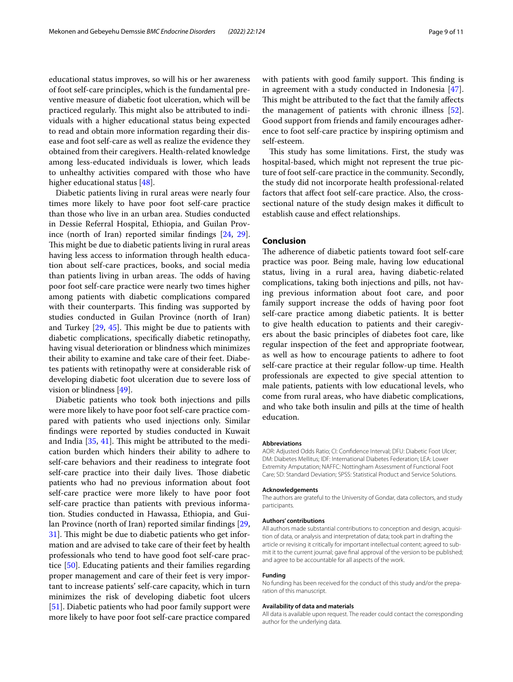educational status improves, so will his or her awareness of foot self-care principles, which is the fundamental preventive measure of diabetic foot ulceration, which will be practiced regularly. This might also be attributed to individuals with a higher educational status being expected to read and obtain more information regarding their disease and foot self-care as well as realize the evidence they obtained from their caregivers. Health-related knowledge among less-educated individuals is lower, which leads to unhealthy activities compared with those who have higher educational status [[48](#page-10-7)].

Diabetic patients living in rural areas were nearly four times more likely to have poor foot self-care practice than those who live in an urban area. Studies conducted in Dessie Referral Hospital, Ethiopia, and Guilan Province (north of Iran) reported similar fndings [[24,](#page-9-22) [29](#page-9-27)]. This might be due to diabetic patients living in rural areas having less access to information through health education about self-care practices, books, and social media than patients living in urban areas. The odds of having poor foot self-care practice were nearly two times higher among patients with diabetic complications compared with their counterparts. This finding was supported by studies conducted in Guilan Province (north of Iran) and Turkey  $[29, 45]$  $[29, 45]$  $[29, 45]$ . This might be due to patients with diabetic complications, specifcally diabetic retinopathy, having visual deterioration or blindness which minimizes their ability to examine and take care of their feet. Diabetes patients with retinopathy were at considerable risk of developing diabetic foot ulceration due to severe loss of vision or blindness [[49\]](#page-10-8).

Diabetic patients who took both injections and pills were more likely to have poor foot self-care practice compared with patients who used injections only. Similar fndings were reported by studies conducted in Kuwait and India  $[35, 41]$  $[35, 41]$  $[35, 41]$ . This might be attributed to the medication burden which hinders their ability to adhere to self-care behaviors and their readiness to integrate foot self-care practice into their daily lives. Those diabetic patients who had no previous information about foot self-care practice were more likely to have poor foot self-care practice than patients with previous information. Studies conducted in Hawassa, Ethiopia, and Guilan Province (north of Iran) reported similar fndings [\[29](#page-9-27), [31\]](#page-9-29). This might be due to diabetic patients who get information and are advised to take care of their feet by health professionals who tend to have good foot self-care practice [[50](#page-10-9)]. Educating patients and their families regarding proper management and care of their feet is very important to increase patients' self-care capacity, which in turn minimizes the risk of developing diabetic foot ulcers [[51\]](#page-10-10). Diabetic patients who had poor family support were more likely to have poor foot self-care practice compared with patients with good family support. This finding is in agreement with a study conducted in Indonesia [\[47](#page-10-6)]. This might be attributed to the fact that the family affects the management of patients with chronic illness [\[52](#page-10-11)]. Good support from friends and family encourages adherence to foot self-care practice by inspiring optimism and self-esteem.

This study has some limitations. First, the study was hospital-based, which might not represent the true picture of foot self-care practice in the community. Secondly, the study did not incorporate health professional-related factors that afect foot self-care practice. Also, the crosssectional nature of the study design makes it difficult to establish cause and efect relationships.

## **Conclusion**

The adherence of diabetic patients toward foot self-care practice was poor. Being male, having low educational status, living in a rural area, having diabetic-related complications, taking both injections and pills, not having previous information about foot care, and poor family support increase the odds of having poor foot self-care practice among diabetic patients. It is better to give health education to patients and their caregivers about the basic principles of diabetes foot care, like regular inspection of the feet and appropriate footwear, as well as how to encourage patients to adhere to foot self-care practice at their regular follow-up time. Health professionals are expected to give special attention to male patients, patients with low educational levels, who come from rural areas, who have diabetic complications, and who take both insulin and pills at the time of health education.

### **Abbreviations**

AOR: Adjusted Odds Ratio; CI: Confdence Interval; DFU: Diabetic Foot Ulcer; DM: Diabetes Mellitus; IDF: International Diabetes Federation; LEA: Lower Extremity Amputation; NAFFC: Nottingham Assessment of Functional Foot Care; SD: Standard Deviation; SPSS: Statistical Product and Service Solutions.

#### **Acknowledgements**

The authors are grateful to the University of Gondar, data collectors, and study participants.

### **Authors' contributions**

All authors made substantial contributions to conception and design, acquisition of data, or analysis and interpretation of data; took part in drafting the article or revising it critically for important intellectual content; agreed to submit it to the current journal; gave fnal approval of the version to be published; and agree to be accountable for all aspects of the work.

#### **Funding**

No funding has been received for the conduct of this study and/or the preparation of this manuscript.

#### **Availability of data and materials**

All data is available upon request. The reader could contact the corresponding author for the underlying data.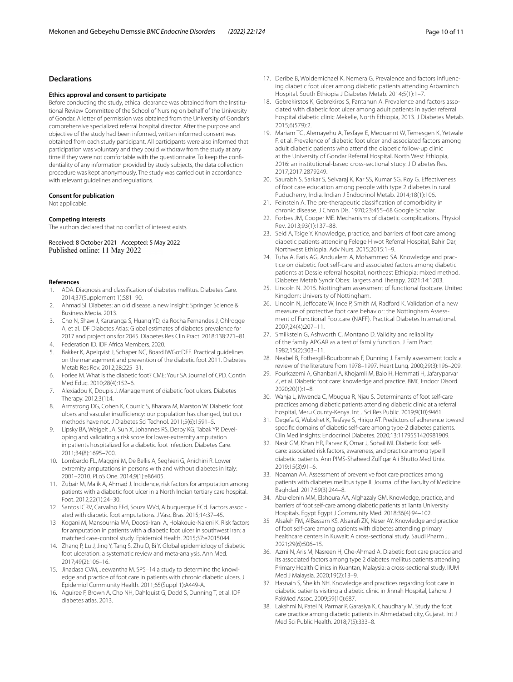## **Declarations**

### **Ethics approval and consent to participate**

Before conducting the study, ethical clearance was obtained from the Institutional Review Committee of the School of Nursing on behalf of the University of Gondar. A letter of permission was obtained from the University of Gondar's comprehensive specialized referral hospital director. After the purpose and objective of the study had been informed, written informed consent was obtained from each study participant. All participants were also informed that participation was voluntary and they could withdraw from the study at any time if they were not comfortable with the questionnaire. To keep the confdentiality of any information provided by study subjects, the data collection procedure was kept anonymously. The study was carried out in accordance with relevant guidelines and regulations.

### **Consent for publication**

Not applicable.

#### **Competing interests**

The authors declared that no confict of interest exists.

Received: 8 October 2021 Accepted: 5 May 2022 Published online: 11 May 2022

### **References**

- <span id="page-9-0"></span>1. ADA. Diagnosis and classifcation of diabetes mellitus. Diabetes Care. 2014;37(Supplement 1):S81–90.
- <span id="page-9-1"></span>2. Ahmad SI. Diabetes: an old disease, a new insight: Springer Science & Business Media. 2013.
- <span id="page-9-2"></span>3. Cho N, Shaw J, Karuranga S, Huang YD, da Rocha Fernandes J, Ohlrogge A, et al. IDF Diabetes Atlas: Global estimates of diabetes prevalence for 2017 and projections for 2045. Diabetes Res Clin Pract. 2018;138:271–81.
- <span id="page-9-3"></span>4. Federation ID. IDF Africa Members. 2020.
- <span id="page-9-4"></span>5. Bakker K, Apelqvist J, Schaper NC, Board IWGotDFE. Practical guidelines on the management and prevention of the diabetic foot 2011. Diabetes Metab Res Rev. 2012;28:225–31.
- <span id="page-9-5"></span>6. Forlee M. What is the diabetic foot? CME: Your SA Journal of CPD. Contin Med Educ. 2010;28(4):152–6.
- <span id="page-9-6"></span>7. Alexiadou K, Doupis J. Management of diabetic foot ulcers. Diabetes Therapy. 2012;3(1):4.
- <span id="page-9-7"></span>8. Armstrong DG, Cohen K, Courric S, Bharara M, Marston W. Diabetic foot ulcers and vascular insufficiency: our population has changed, but our methods have not. J Diabetes Sci Technol. 2011;5(6):1591–5.
- <span id="page-9-8"></span>9. Lipsky BA, Weigelt JA, Sun X, Johannes RS, Derby KG, Tabak YP. Developing and validating a risk score for lower-extremity amputation in patients hospitalized for a diabetic foot infection. Diabetes Care. 2011;34(8):1695–700.
- <span id="page-9-9"></span>10. Lombardo FL, Maggini M, De Bellis A, Seghieri G, Anichini R. Lower extremity amputations in persons with and without diabetes in Italy: 2001–2010. PLoS One. 2014;9(1):e86405.
- <span id="page-9-10"></span>11. Zubair M, Malik A, Ahmad J. Incidence, risk factors for amputation among patients with a diabetic foot ulcer in a North Indian tertiary care hospital. Foot. 2012;22(1):24–30.
- <span id="page-9-11"></span>12 Santos ICRV, Carvalho EFd, Souza WVd, Albuquerque ECd. Factors associated with diabetic foot amputations. J Vasc Bras. 2015;14:37–45.
- <span id="page-9-12"></span>13 Kogani M, Mansournia MA, Doosti-Irani A, Holakouie-Naieni K. Risk factors for amputation in patients with a diabetic foot ulcer in southwest Iran: a matched case-control study. Epidemiol Health. 2015;37:e2015044.
- <span id="page-9-13"></span>14. Zhang P, Lu J, Jing Y, Tang S, Zhu D, Bi Y. Global epidemiology of diabetic foot ulceration: a systematic review and meta-analysis. Ann Med. 2017;49(2):106–16.
- <span id="page-9-14"></span>15. Jinadasa CVM, Jeewantha M. SP5–14 a study to determine the knowledge and practice of foot care in patients with chronic diabetic ulcers. J Epidemiol Community Health. 2011;65(Suppl 1):A449-A.
- <span id="page-9-15"></span>16. Aguiree F, Brown A, Cho NH, Dahlquist G, Dodd S, Dunning T, et al. IDF diabetes atlas. 2013.
- <span id="page-9-16"></span>17. Deribe B, Woldemichael K, Nemera G. Prevalence and factors infuencing diabetic foot ulcer among diabetic patients attending Arbaminch Hospital. South Ethiopia J Diabetes Metab. 2014;5(1):1–7.
- 18. Gebrekirstos K, Gebrekiros S, Fantahun A. Prevalence and factors associated with diabetic foot ulcer among adult patients in ayder referral hospital diabetic clinic Mekelle, North Ethiopia, 2013. J Diabetes Metab. 2015;6(579):2.
- <span id="page-9-17"></span>19. Mariam TG, Alemayehu A, Tesfaye E, Mequannt W, Temesgen K, Yetwale F, et al. Prevalence of diabetic foot ulcer and associated factors among adult diabetic patients who attend the diabetic follow-up clinic at the University of Gondar Referral Hospital, North West Ethiopia, 2016: an institutional-based cross-sectional study. J Diabetes Res. 2017;2017:2879249.
- <span id="page-9-18"></span>20. Saurabh S, Sarkar S, Selvaraj K, Kar SS, Kumar SG, Roy G. Efectiveness of foot care education among people with type 2 diabetes in rural Puducherry, India. Indian J Endocrinol Metab. 2014;18(1):106.
- <span id="page-9-19"></span>21. Feinstein A. The pre-therapeutic classifcation of comorbidity in chronic disease. J Chron Dis. 1970;23:455–68 Google Scholar.
- <span id="page-9-20"></span>22. Forbes JM, Cooper ME. Mechanisms of diabetic complications. Physiol Rev. 2013;93(1):137–88.
- <span id="page-9-21"></span>23. Seid A, Tsige Y. Knowledge, practice, and barriers of foot care among diabetic patients attending Felege Hiwot Referral Hospital, Bahir Dar, Northwest Ethiopia. Adv Nurs. 2015;2015:1–9.
- <span id="page-9-22"></span>24. Tuha A, Faris AG, Andualem A, Mohammed SA. Knowledge and practice on diabetic foot self-care and associated factors among diabetic patients at Dessie referral hospital, northeast Ethiopia: mixed method. Diabetes Metab Syndr Obes: Targets and Therapy. 2021;14:1203.
- <span id="page-9-23"></span>25. Lincoln N. 2015. Nottingham assessment of functional footcare. United Kingdom: University of Nottingham.
- <span id="page-9-24"></span>26. Lincoln N, Jeffcoate W, Ince P, Smith M, Radford K. Validation of a new measure of protective foot care behavior: the Nottingham Assessment of Functional Footcare (NAFF). Practical Diabetes International. 2007;24(4):207–11.
- <span id="page-9-25"></span>27. Smilkstein G, Ashworth C, Montano D. Validity and reliability of the family APGAR as a test of family function. J Fam Pract. 1982;15(2):303–11.
- <span id="page-9-26"></span>28. Neabel B, Fothergill-Bourbonnais F, Dunning J. Family assessment tools: a review of the literature from 1978–1997. Heart Lung. 2000;29(3):196–209.
- <span id="page-9-27"></span>29. Pourkazemi A, Ghanbari A, Khojamli M, Balo H, Hemmati H, Jafaryparvar Z, et al. Diabetic foot care: knowledge and practice. BMC Endocr Disord. 2020;20(1):1–8.
- <span id="page-9-28"></span>30. Wanja L, Mwenda C, Mbugua R, Njau S. Determinants of foot self-care practices among diabetic patients attending diabetic clinic at a referral hospital, Meru County-Kenya. Int J Sci Res Public. 2019;9(10):9461.
- <span id="page-9-29"></span>31. Degefa G, Wubshet K, Tesfaye S, Hirigo AT. Predictors of adherence toward specifc domains of diabetic self-care among type-2 diabetes patients. Clin Med Insights: Endocrinol Diabetes. 2020;13:1179551420981909.
- 32. Nasir GM, Khan HR, Parvez K, Omar J, Sohail MI. Diabetic foot selfcare: associated risk factors, awareness, and practice among type II diabetic patients. Ann PIMS-Shaheed Zulfqar Ali Bhutto Med Univ. 2019;15(3):91–6.
- <span id="page-9-30"></span>33. Noaman AA. Assessment of preventive foot care practices among patients with diabetes mellitus type II. Journal of the Faculty of Medicine Baghdad. 2017;59(3):244–8.
- <span id="page-9-31"></span>34. Abu-elenin MM, Elshoura AA, Alghazaly GM. Knowledge, practice, and barriers of foot self-care among diabetic patients at Tanta University Hospitals. Egypt Egypt J Community Med. 2018;36(4):94–102.
- <span id="page-9-34"></span>35 Alsaleh FM, AlBassam KS, Alsairaf ZK, Naser AY. Knowledge and practice of foot self-care among patients with diabetes attending primary healthcare centers in Kuwait: A cross-sectional study. Saudi Pharm J. 2021;29(6):506–15.
- 36. Azmi N, Aris M, Nasreen H, Che-Ahmad A. Diabetic foot care practice and its associated factors among type 2 diabetes mellitus patients attending Primary Health Clinics in Kuantan, Malaysia: a cross-sectional study. IIUM Med J Malaysia. 2020;19(2):13–9.
- <span id="page-9-32"></span>37. Hasnain S, Sheikh NH. Knowledge and practices regarding foot care in diabetic patients visiting a diabetic clinic in Jinnah Hospital, Lahore. J PakMed Assoc. 2009;59(10):687.
- <span id="page-9-33"></span>38. Lakshmi N, Patel N, Parmar P, Garasiya K, Chaudhary M. Study the foot care practice among diabetic patients in Ahmedabad city, Gujarat. Int J Med Sci Public Health. 2018;7(5):333–8.